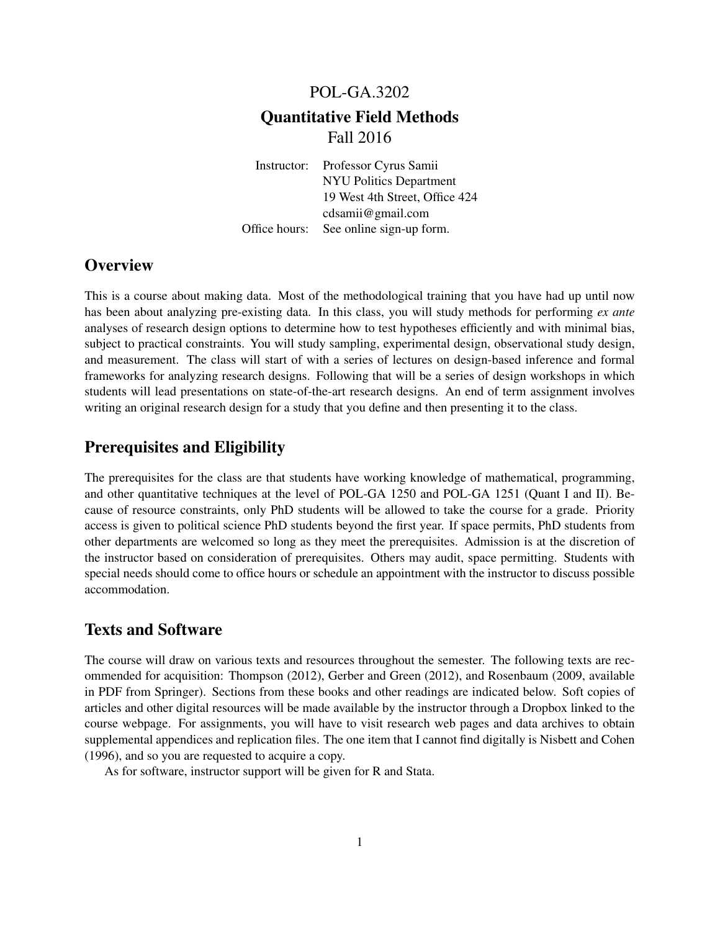# POL-GA.3202 Quantitative Field Methods Fall 2016

Instructor: Professor Cyrus Samii NYU Politics Department 19 West 4th Street, Office 424 cdsamii@gmail.com Office hours: See online sign-up form.

# **Overview**

This is a course about making data. Most of the methodological training that you have had up until now has been about analyzing pre-existing data. In this class, you will study methods for performing *ex ante* analyses of research design options to determine how to test hypotheses efficiently and with minimal bias, subject to practical constraints. You will study sampling, experimental design, observational study design, and measurement. The class will start of with a series of lectures on design-based inference and formal frameworks for analyzing research designs. Following that will be a series of design workshops in which students will lead presentations on state-of-the-art research designs. An end of term assignment involves writing an original research design for a study that you define and then presenting it to the class.

# Prerequisites and Eligibility

The prerequisites for the class are that students have working knowledge of mathematical, programming, and other quantitative techniques at the level of POL-GA 1250 and POL-GA 1251 (Quant I and II). Because of resource constraints, only PhD students will be allowed to take the course for a grade. Priority access is given to political science PhD students beyond the first year. If space permits, PhD students from other departments are welcomed so long as they meet the prerequisites. Admission is at the discretion of the instructor based on consideration of prerequisites. Others may audit, space permitting. Students with special needs should come to office hours or schedule an appointment with the instructor to discuss possible accommodation.

# Texts and Software

The course will draw on various texts and resources throughout the semester. The following texts are recommended for acquisition: Thompson (2012), Gerber and Green (2012), and Rosenbaum (2009, available in PDF from Springer). Sections from these books and other readings are indicated below. Soft copies of articles and other digital resources will be made available by the instructor through a Dropbox linked to the course webpage. For assignments, you will have to visit research web pages and data archives to obtain supplemental appendices and replication files. The one item that I cannot find digitally is Nisbett and Cohen (1996), and so you are requested to acquire a copy.

As for software, instructor support will be given for R and Stata.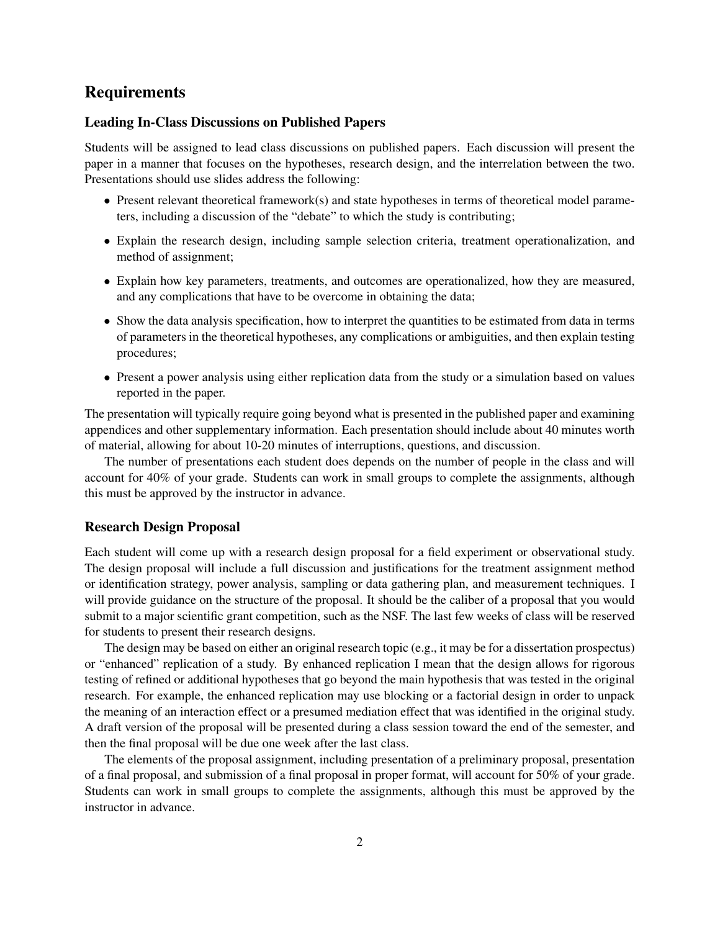## **Requirements**

## Leading In-Class Discussions on Published Papers

Students will be assigned to lead class discussions on published papers. Each discussion will present the paper in a manner that focuses on the hypotheses, research design, and the interrelation between the two. Presentations should use slides address the following:

- Present relevant theoretical framework(s) and state hypotheses in terms of theoretical model parameters, including a discussion of the "debate" to which the study is contributing;
- Explain the research design, including sample selection criteria, treatment operationalization, and method of assignment;
- Explain how key parameters, treatments, and outcomes are operationalized, how they are measured, and any complications that have to be overcome in obtaining the data;
- Show the data analysis specification, how to interpret the quantities to be estimated from data in terms of parameters in the theoretical hypotheses, any complications or ambiguities, and then explain testing procedures;
- Present a power analysis using either replication data from the study or a simulation based on values reported in the paper.

The presentation will typically require going beyond what is presented in the published paper and examining appendices and other supplementary information. Each presentation should include about 40 minutes worth of material, allowing for about 10-20 minutes of interruptions, questions, and discussion.

The number of presentations each student does depends on the number of people in the class and will account for 40% of your grade. Students can work in small groups to complete the assignments, although this must be approved by the instructor in advance.

#### Research Design Proposal

Each student will come up with a research design proposal for a field experiment or observational study. The design proposal will include a full discussion and justifications for the treatment assignment method or identification strategy, power analysis, sampling or data gathering plan, and measurement techniques. I will provide guidance on the structure of the proposal. It should be the caliber of a proposal that you would submit to a major scientific grant competition, such as the NSF. The last few weeks of class will be reserved for students to present their research designs.

The design may be based on either an original research topic (e.g., it may be for a dissertation prospectus) or "enhanced" replication of a study. By enhanced replication I mean that the design allows for rigorous testing of refined or additional hypotheses that go beyond the main hypothesis that was tested in the original research. For example, the enhanced replication may use blocking or a factorial design in order to unpack the meaning of an interaction effect or a presumed mediation effect that was identified in the original study. A draft version of the proposal will be presented during a class session toward the end of the semester, and then the final proposal will be due one week after the last class.

The elements of the proposal assignment, including presentation of a preliminary proposal, presentation of a final proposal, and submission of a final proposal in proper format, will account for 50% of your grade. Students can work in small groups to complete the assignments, although this must be approved by the instructor in advance.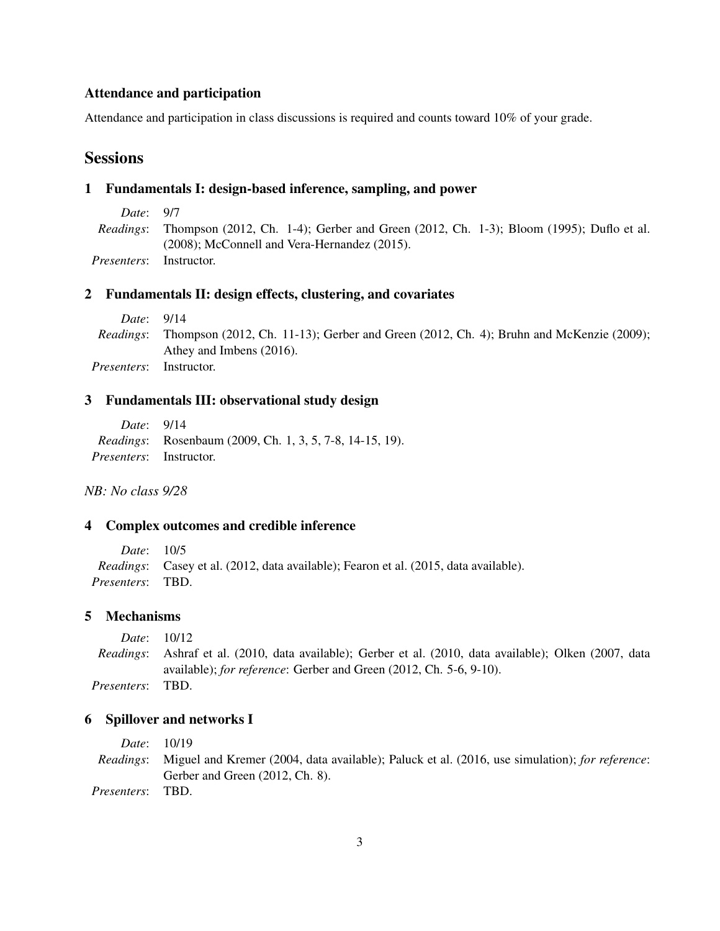## Attendance and participation

Attendance and participation in class discussions is required and counts toward 10% of your grade.

# **Sessions**

## 1 Fundamentals I: design-based inference, sampling, and power

| Date: 9/7   |                                                                                                          |  |  |  |
|-------------|----------------------------------------------------------------------------------------------------------|--|--|--|
|             | <i>Readings</i> : Thompson (2012, Ch. 1-4); Gerber and Green (2012, Ch. 1-3); Bloom (1995); Duflo et al. |  |  |  |
|             | $(2008)$ ; McConnell and Vera-Hernandez $(2015)$ .                                                       |  |  |  |
| Presenters: | Instructor.                                                                                              |  |  |  |

## 2 Fundamentals II: design effects, clustering, and covariates

| <i>Date</i> : 9/14 |                                                                                                          |
|--------------------|----------------------------------------------------------------------------------------------------------|
|                    | <i>Readings</i> : Thompson (2012, Ch. 11-13); Gerber and Green (2012, Ch. 4); Bruhn and McKenzie (2009); |
|                    | Athey and Imbens (2016).                                                                                 |
| <i>Presenters:</i> | Instructor.                                                                                              |

#### 3 Fundamentals III: observational study design

| <i>Date</i> : 9/14              |                                                                 |
|---------------------------------|-----------------------------------------------------------------|
|                                 | <i>Readings:</i> Rosenbaum (2009, Ch. 1, 3, 5, 7-8, 14-15, 19). |
| <i>Presenters</i> : Instructor. |                                                                 |

*NB: No class 9/28*

## 4 Complex outcomes and credible inference

*Date*: 10/5 *Readings*: Casey et al. (2012, data available); Fearon et al. (2015, data available). *Presenters*: TBD.

## 5 Mechanisms

*Date*: 10/12 *Readings*: Ashraf et al. (2010, data available); Gerber et al. (2010, data available); Olken (2007, data available); *for reference*: Gerber and Green (2012, Ch. 5-6, 9-10). *Presenters*: TBD.

#### 6 Spillover and networks I

*Date*: 10/19 *Readings*: Miguel and Kremer (2004, data available); Paluck et al. (2016, use simulation); *for reference*: Gerber and Green (2012, Ch. 8). *Presenters*: TBD.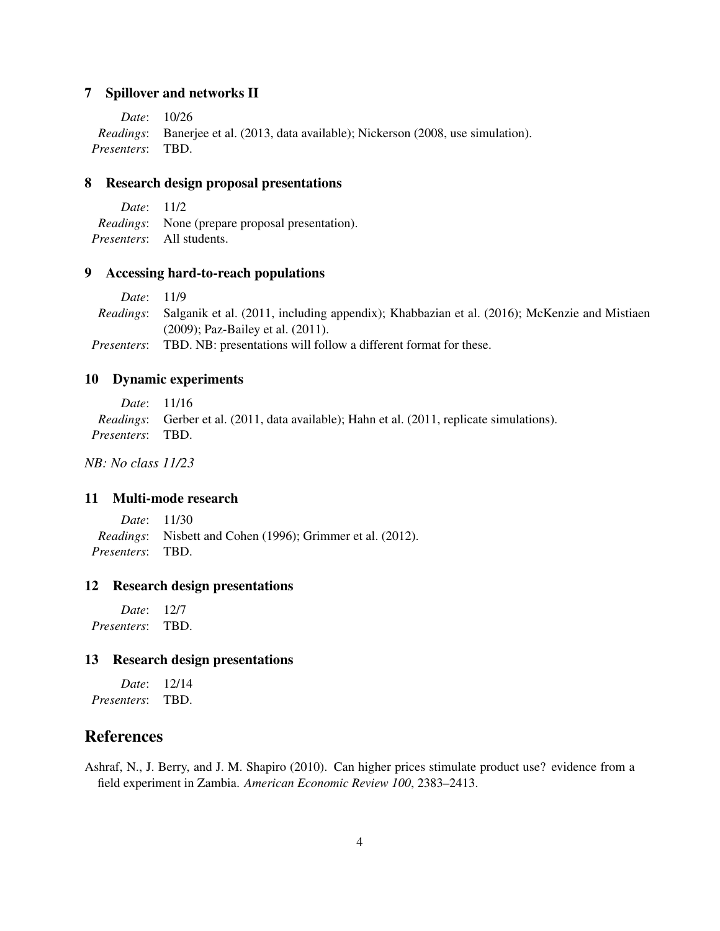## 7 Spillover and networks II

*Date*: 10/26 *Readings*: Banerjee et al. (2013, data available); Nickerson (2008, use simulation). *Presenters*: TBD.

## 8 Research design proposal presentations

| <i>Date</i> : 11/2 |                                                         |
|--------------------|---------------------------------------------------------|
|                    | <i>Readings</i> : None (prepare proposal presentation). |
|                    | <i>Presenters</i> : All students.                       |

#### 9 Accessing hard-to-reach populations

*Date*: 11/9 *Readings*: Salganik et al. (2011, including appendix); Khabbazian et al. (2016); McKenzie and Mistiaen (2009); Paz-Bailey et al. (2011). *Presenters*: TBD. NB: presentations will follow a different format for these.

## 10 Dynamic experiments

*Date*: 11/16 *Readings*: Gerber et al. (2011, data available); Hahn et al. (2011, replicate simulations). *Presenters*: TBD.

*NB: No class 11/23*

## 11 Multi-mode research

*Date*: 11/30 *Readings*: Nisbett and Cohen (1996); Grimmer et al. (2012). *Presenters*: TBD.

#### 12 Research design presentations

*Date*: 12/7 *Presenters*: TBD.

## 13 Research design presentations

*Date*: 12/14 *Presenters*: TBD.

## References

Ashraf, N., J. Berry, and J. M. Shapiro (2010). Can higher prices stimulate product use? evidence from a field experiment in Zambia. *American Economic Review 100*, 2383–2413.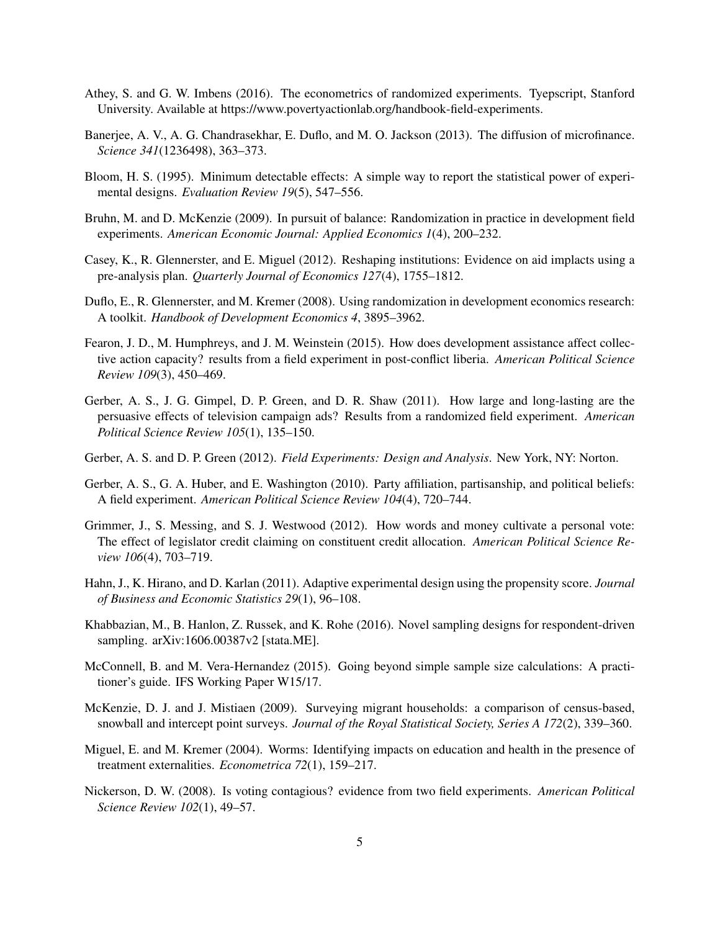- Athey, S. and G. W. Imbens (2016). The econometrics of randomized experiments. Tyepscript, Stanford University. Available at https://www.povertyactionlab.org/handbook-field-experiments.
- Banerjee, A. V., A. G. Chandrasekhar, E. Duflo, and M. O. Jackson (2013). The diffusion of microfinance. *Science 341*(1236498), 363–373.
- Bloom, H. S. (1995). Minimum detectable effects: A simple way to report the statistical power of experimental designs. *Evaluation Review 19*(5), 547–556.
- Bruhn, M. and D. McKenzie (2009). In pursuit of balance: Randomization in practice in development field experiments. *American Economic Journal: Applied Economics 1*(4), 200–232.
- Casey, K., R. Glennerster, and E. Miguel (2012). Reshaping institutions: Evidence on aid implacts using a pre-analysis plan. *Quarterly Journal of Economics 127*(4), 1755–1812.
- Duflo, E., R. Glennerster, and M. Kremer (2008). Using randomization in development economics research: A toolkit. *Handbook of Development Economics 4*, 3895–3962.
- Fearon, J. D., M. Humphreys, and J. M. Weinstein (2015). How does development assistance affect collective action capacity? results from a field experiment in post-conflict liberia. *American Political Science Review 109*(3), 450–469.
- Gerber, A. S., J. G. Gimpel, D. P. Green, and D. R. Shaw (2011). How large and long-lasting are the persuasive effects of television campaign ads? Results from a randomized field experiment. *American Political Science Review 105*(1), 135–150.
- Gerber, A. S. and D. P. Green (2012). *Field Experiments: Design and Analysis*. New York, NY: Norton.
- Gerber, A. S., G. A. Huber, and E. Washington (2010). Party affiliation, partisanship, and political beliefs: A field experiment. *American Political Science Review 104*(4), 720–744.
- Grimmer, J., S. Messing, and S. J. Westwood (2012). How words and money cultivate a personal vote: The effect of legislator credit claiming on constituent credit allocation. *American Political Science Review 106*(4), 703–719.
- Hahn, J., K. Hirano, and D. Karlan (2011). Adaptive experimental design using the propensity score. *Journal of Business and Economic Statistics 29*(1), 96–108.
- Khabbazian, M., B. Hanlon, Z. Russek, and K. Rohe (2016). Novel sampling designs for respondent-driven sampling. arXiv:1606.00387v2 [stata.ME].
- McConnell, B. and M. Vera-Hernandez (2015). Going beyond simple sample size calculations: A practitioner's guide. IFS Working Paper W15/17.
- McKenzie, D. J. and J. Mistiaen (2009). Surveying migrant households: a comparison of census-based, snowball and intercept point surveys. *Journal of the Royal Statistical Society, Series A 172*(2), 339–360.
- Miguel, E. and M. Kremer (2004). Worms: Identifying impacts on education and health in the presence of treatment externalities. *Econometrica 72*(1), 159–217.
- Nickerson, D. W. (2008). Is voting contagious? evidence from two field experiments. *American Political Science Review 102*(1), 49–57.